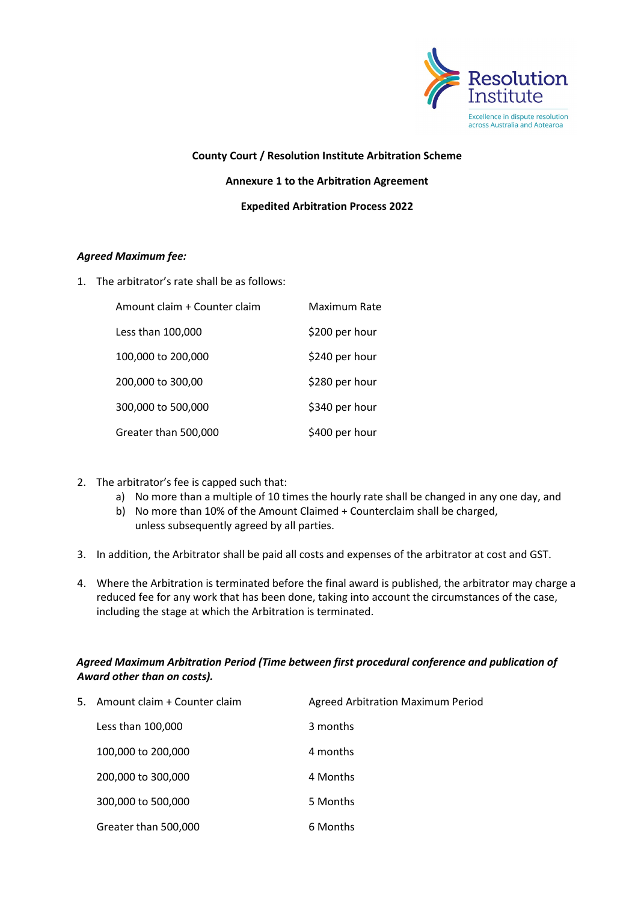

## **County Court / Resolution Institute Arbitration Scheme Annexure 1 to the Arbitration Agreement Expedited Arbitration Process 2022**

## *Agreed Maximum fee:*

1. The arbitrator's rate shall be as follows:

| Amount claim + Counter claim | Maximum Rate   |
|------------------------------|----------------|
| Less than 100,000            | \$200 per hour |
| 100,000 to 200,000           | \$240 per hour |
| 200,000 to 300,00            | \$280 per hour |
| 300,000 to 500,000           | \$340 per hour |
| Greater than 500,000         | \$400 per hour |

- 2. The arbitrator's fee is capped such that:
	- a) No more than a multiple of 10 times the hourly rate shall be changed in any one day, and
	- b) No more than 10% of the Amount Claimed + Counterclaim shall be charged, unless subsequently agreed by all parties.
- 3. In addition, the Arbitrator shall be paid all costs and expenses of the arbitrator at cost and GST.
- 4. Where the Arbitration is terminated before the final award is published, the arbitrator may charge a reduced fee for any work that has been done, taking into account the circumstances of the case, including the stage at which the Arbitration is terminated.

## *Agreed Maximum Arbitration Period (Time between first procedural conference and publication of Award other than on costs).*

| 5. | Amount claim + Counter claim | Agreed Arbitration Maximum Period |
|----|------------------------------|-----------------------------------|
|    | Less than 100,000            | 3 months                          |
|    | 100,000 to 200,000           | 4 months                          |
|    | 200,000 to 300,000           | 4 Months                          |
|    | 300,000 to 500,000           | 5 Months                          |
|    | Greater than 500,000         | 6 Months                          |